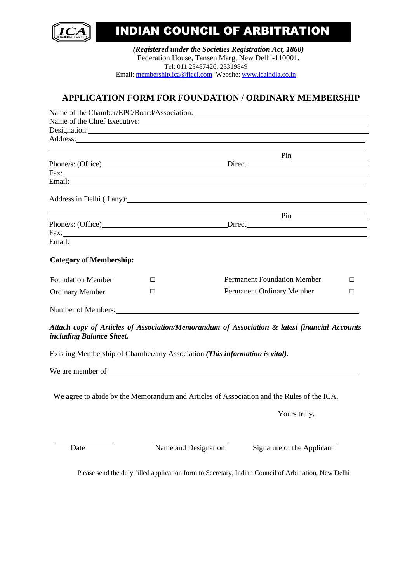

# INDIAN COUNCIL OF ARBITRATION

*(Registered under the Societies Registration Act, 1860)* Federation House, Tansen Marg, New Delhi-110001. Tel: 011 23487426, 23319849 Email: [membership.ica@ficci.com](mailto:membership.ica@ficci.com) Website: [www.icaindia.co.in](http://www.icaindia.co.in/)

## **APPLICATION FORM FOR FOUNDATION / ORDINARY MEMBERSHIP**

|                                |                                                                                                                                                                                                                                | Name of the Chief Executive:                                                                 |        |
|--------------------------------|--------------------------------------------------------------------------------------------------------------------------------------------------------------------------------------------------------------------------------|----------------------------------------------------------------------------------------------|--------|
|                                | Address: No. 1996. The Committee of the Committee of the Committee of the Committee of the Committee of the Committee of the Committee of the Committee of the Committee of the Committee of the Committee of the Committee of | Designation:                                                                                 |        |
|                                |                                                                                                                                                                                                                                |                                                                                              |        |
|                                |                                                                                                                                                                                                                                | $\frac{\text{Pin}}{\text{Pin}}$                                                              |        |
|                                |                                                                                                                                                                                                                                | Phone/s: (Office) Direct Direct                                                              |        |
|                                | Fax: The contract of the contract of the contract of the contract of the contract of the contract of the contract of the contract of the contract of the contract of the contract of the contract of the contract of the contr |                                                                                              |        |
|                                |                                                                                                                                                                                                                                |                                                                                              |        |
|                                |                                                                                                                                                                                                                                |                                                                                              |        |
|                                | <u> 1989 - Johann Stoff, amerikansk politiker (* 1908)</u>                                                                                                                                                                     | $\overline{\mathbf{Pin}}$ $\overline{\mathbf{O}}$                                            |        |
|                                |                                                                                                                                                                                                                                |                                                                                              |        |
|                                | Fax: Figure 2018                                                                                                                                                                                                               |                                                                                              |        |
| Email:                         |                                                                                                                                                                                                                                |                                                                                              |        |
| <b>Category of Membership:</b> |                                                                                                                                                                                                                                |                                                                                              |        |
| <b>Foundation Member</b>       | $\Box$                                                                                                                                                                                                                         | <b>Permanent Foundation Member</b>                                                           | П      |
| <b>Ordinary Member</b>         | $\Box$                                                                                                                                                                                                                         | Permanent Ordinary Member                                                                    | $\Box$ |
|                                | Number of Members: Number of Members:                                                                                                                                                                                          |                                                                                              |        |
| including Balance Sheet.       |                                                                                                                                                                                                                                | Attach copy of Articles of Association/Memorandum of Association & latest financial Accounts |        |
|                                | Existing Membership of Chamber/any Association (This information is vital).                                                                                                                                                    |                                                                                              |        |
|                                |                                                                                                                                                                                                                                |                                                                                              |        |
|                                |                                                                                                                                                                                                                                | We agree to abide by the Memorandum and Articles of Association and the Rules of the ICA.    |        |
|                                |                                                                                                                                                                                                                                | Yours truly,                                                                                 |        |
| Date                           | Name and Designation                                                                                                                                                                                                           | Signature of the Applicant                                                                   |        |

Please send the duly filled application form to Secretary, Indian Council of Arbitration, New Delhi